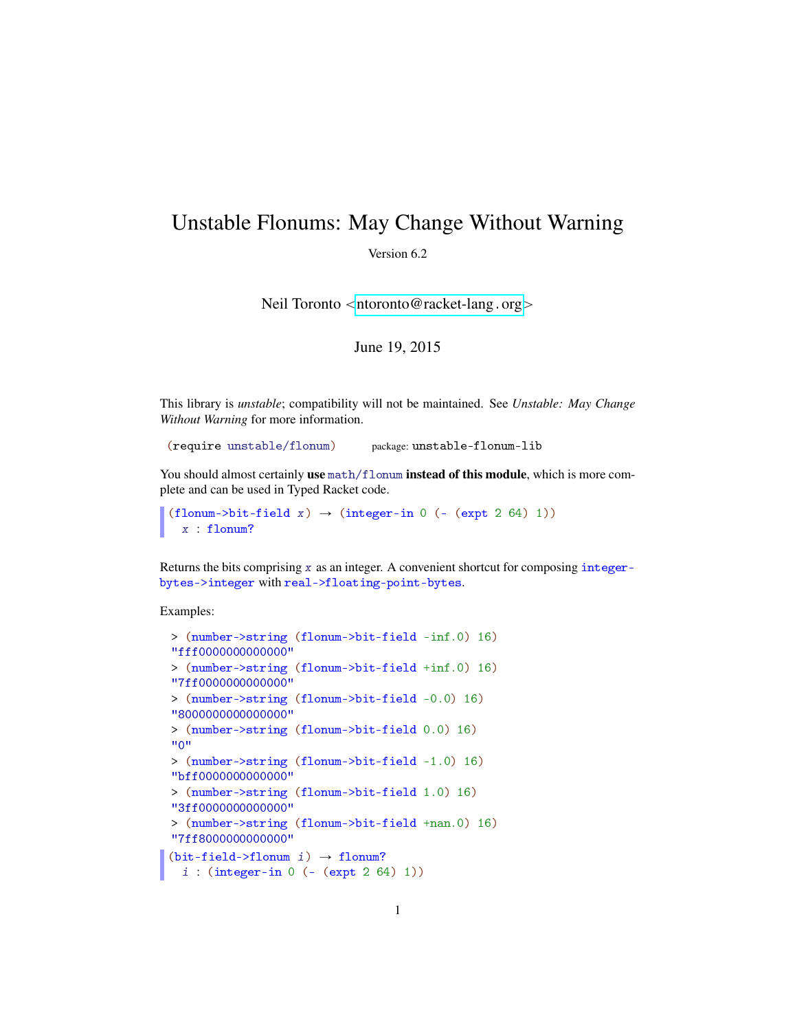## Unstable Flonums: May Change Without Warning

Version 6.2

Neil Toronto  $\langle$ [ntoronto@racket-lang](mailto:ntoronto@racket-lang.org).org $>$ 

June 19, 2015

This library is *unstable*; compatibility will not be maintained. See *Unstable: May Change Without Warning* for more information.

(require unstable/flonum) package: unstable-flonum-lib

You should almost certainly use  $\text{math/f}$  lonum instead of this module, which is more complete and can be used in Typed Racket code.

```
(flonum->bit-field x) \rightarrow (integer-in 0 (- (expt 2 64) 1))
  x : flonum?
```
Returns the bits comprising  $x$  as an integer. A convenient shortcut for composing integerbytes->integer with real->floating-point-bytes.

Examples:

```
> (number->string (flonum->bit-field -inf.0) 16)
"fff0000000000000"
> (number->string (flonum->bit-field +inf.0) 16)
"7ff0000000000000"
> (number->string (flonum->bit-field -0.0) 16)
"8000000000000000"
> (number->string (flonum->bit-field 0.0) 16)
"0"
> (number->string (flonum->bit-field -1.0) 16)
"bff0000000000000"
> (number->string (flonum->bit-field 1.0) 16)
"3ff0000000000000"
> (number->string (flonum->bit-field +nan.0) 16)
"7ff8000000000000"
(bit-field~>flonum i) \rightarrow flonum?
 i : (integer-in 0 (- (expt 2 64) 1))
```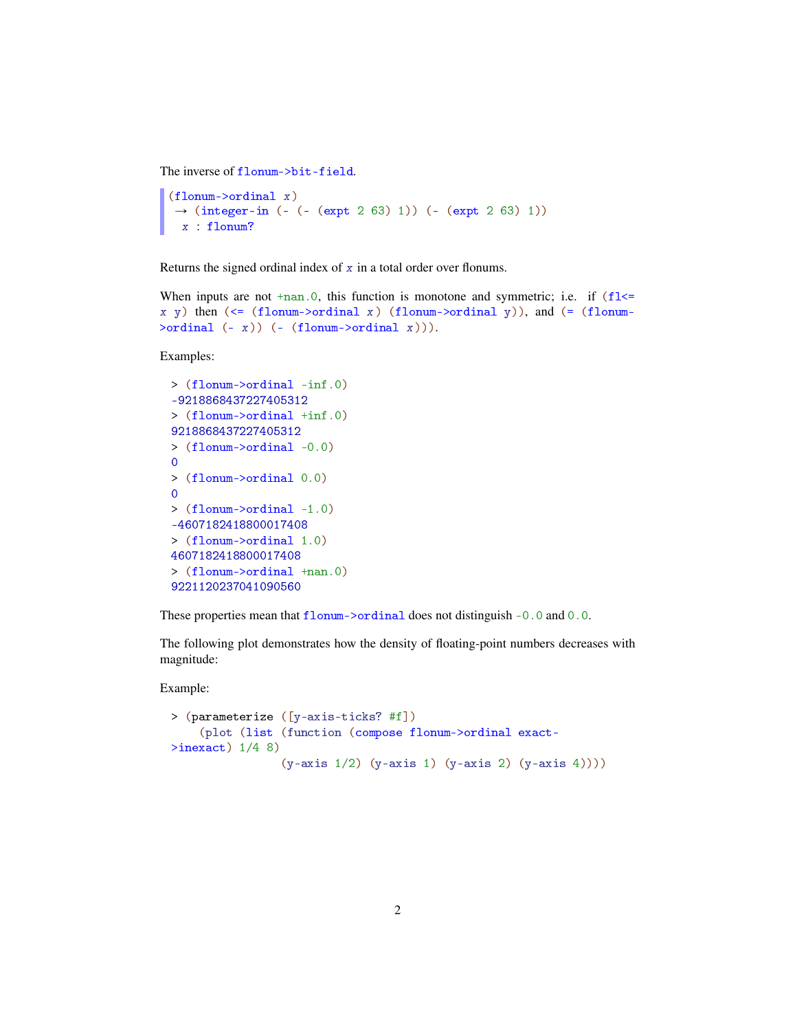The inverse of flonum->bit-field.

```
(flonum->ordinal x)
\rightarrow (integer-in (- (- (expt 2 63) 1)) (- (expt 2 63) 1))
 x : flonum?
```
Returns the signed ordinal index of  $x$  in a total order over flonums.

```
When inputs are not tan 0, this function is monotone and symmetric; i.e. if (f1\leqx y) then (<= (flonum->ordinal x) (flonum->ordinal y)), and (= (flonum-
\text{Normal} (- x) (- (flonum-\text{Normal} (x)).
```
Examples:

```
> (flonum->ordinal -inf.0)
-9218868437227405312
> (flonum->ordinal +inf.0)
9218868437227405312
> (flonum->ordinal -0.0)
\Omega> (flonum->ordinal 0.0)
\overline{0}> (flonum->ordinal -1.0)
-4607182418800017408
> (flonum->ordinal 1.0)
4607182418800017408
> (flonum->ordinal +nan.0)
9221120237041090560
```
These properties mean that flonum->ordinal does not distinguish -0.0 and 0.0.

The following plot demonstrates how the density of floating-point numbers decreases with magnitude:

Example:

```
> (parameterize ([y-axis-ticks? #f])
    (plot (list (function (compose flonum->ordinal exact-
\frac{\text{Sine}}{\text{2}} 1/4 8)
                  (y-axis 1/2) (y-axis 1) (y-axis 2) (y-axis 4))))
```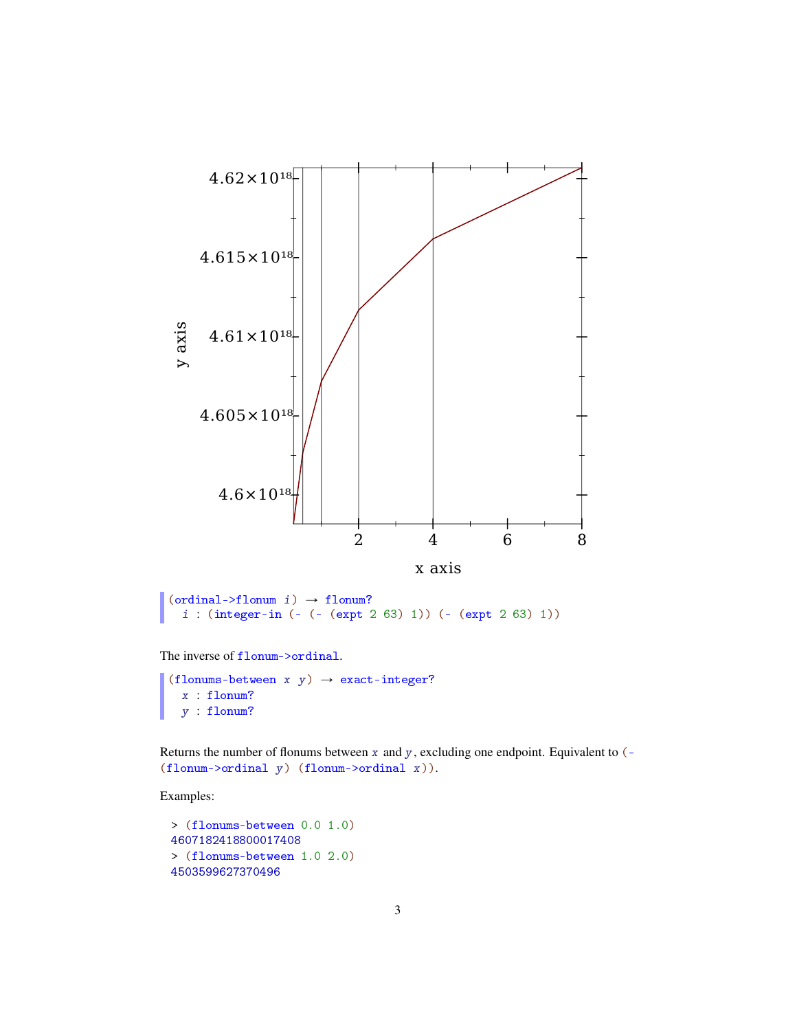

```
\vert (ordinal->flonum i) \rightarrow flonum?
   i : (integer-in (- (- (expt 2 63) 1)) (- (expt 2 63) 1))
```
The inverse of flonum->ordinal.

```
(flonums-between x y) \rightarrow exact-integer?
  x : flonum?
  y : flonum?
```
Returns the number of flonums between  $x$  and  $y$ , excluding one endpoint. Equivalent to  $(-$ (flonum->ordinal y) (flonum->ordinal x)).

Examples:

```
> (flonums-between 0.0 1.0)
4607182418800017408
> (flonums-between 1.0 2.0)
4503599627370496
```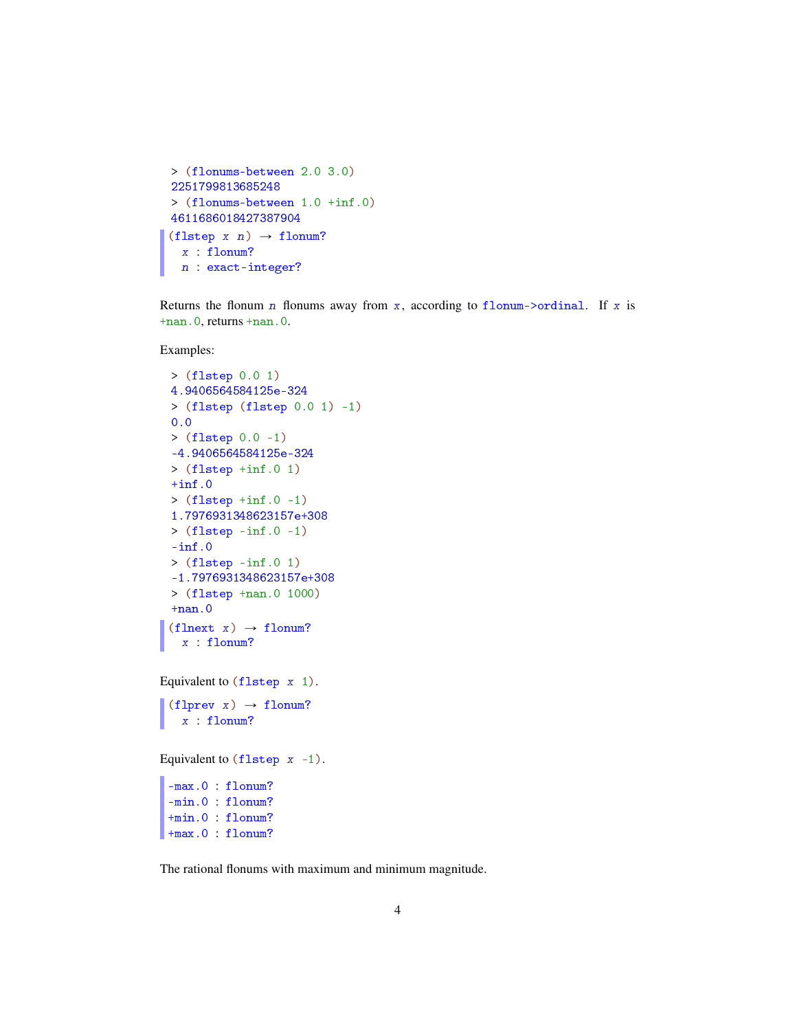```
> (flonums-between 2.0 3.0)
2251799813685248
> (flonums-between 1.0 +inf.0)
4611686018427387904
(flstep x n) \rightarrow flonum?
 x : flonum?
 n : exact-integer?
```
Returns the flonum n flonums away from x, according to flonum- $\partial$ ordinal. If x is +nan.0, returns +nan.0.

Examples:

```
> (flstep 0.0 1)
4.9406564584125e-324
> (flstep (flstep 0.0 1) -1)
0.0
> (flstep 0.0 -1)
-4.9406564584125e-324
> (flstep +inf.0 1)
+inf.0> (flstep +inf.0 -1)
1.7976931348623157e+308
> (flstep -inf.0 -1)
-inf.0> (flstep -inf.0 1)
-1.7976931348623157e+308
> (flstep +nan.0 1000)
+nan.0(flnext x) \rightarrow flonum?x : flonum?
```

```
Equivalent to (flstep x 1).
```
(flprev x)  $\rightarrow$  flonum? x : flonum?

Equivalent to  $(f$ lstep  $x -1$ ).

-max.0 : flonum? -min.0 : flonum? +min.0 : flonum? +max.0 : flonum?

The rational flonums with maximum and minimum magnitude.